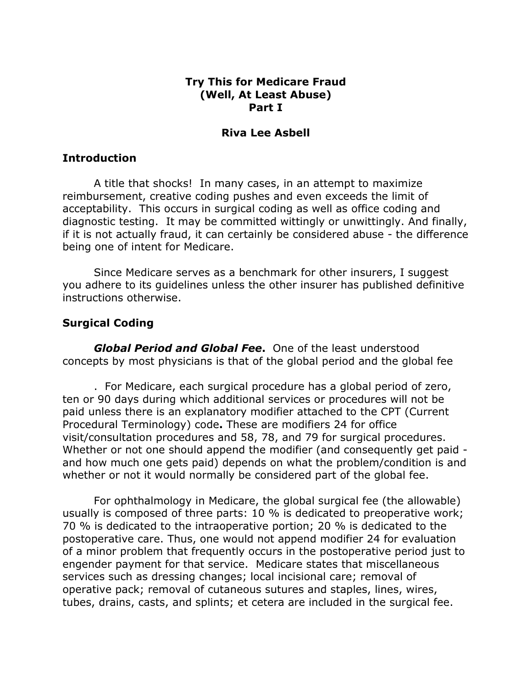### Try This for Medicare Fraud (Well, At Least Abuse) Part I

#### Riva Lee Asbell

### **Introduction**

A title that shocks! In many cases, in an attempt to maximize reimbursement, creative coding pushes and even exceeds the limit of acceptability. This occurs in surgical coding as well as office coding and diagnostic testing. It may be committed wittingly or unwittingly. And finally, if it is not actually fraud, it can certainly be considered abuse - the difference being one of intent for Medicare.

Since Medicare serves as a benchmark for other insurers, I suggest you adhere to its guidelines unless the other insurer has published definitive instructions otherwise.

## Surgical Coding

**Global Period and Global Fee.** One of the least understood concepts by most physicians is that of the global period and the global fee

. For Medicare, each surgical procedure has a global period of zero, ten or 90 days during which additional services or procedures will not be paid unless there is an explanatory modifier attached to the CPT (Current Procedural Terminology) code. These are modifiers 24 for office visit/consultation procedures and 58, 78, and 79 for surgical procedures. Whether or not one should append the modifier (and consequently get paid and how much one gets paid) depends on what the problem/condition is and whether or not it would normally be considered part of the global fee.

For ophthalmology in Medicare, the global surgical fee (the allowable) usually is composed of three parts: 10 % is dedicated to preoperative work; 70 % is dedicated to the intraoperative portion; 20 % is dedicated to the postoperative care. Thus, one would not append modifier 24 for evaluation of a minor problem that frequently occurs in the postoperative period just to engender payment for that service. Medicare states that miscellaneous services such as dressing changes; local incisional care; removal of operative pack; removal of cutaneous sutures and staples, lines, wires, tubes, drains, casts, and splints; et cetera are included in the surgical fee.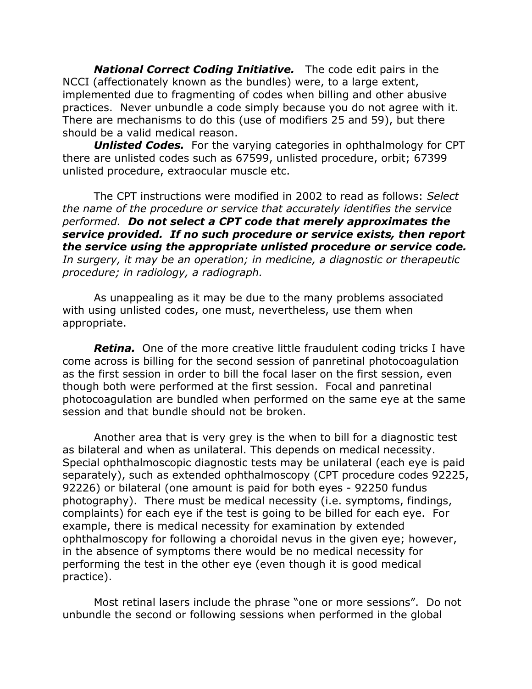**National Correct Coding Initiative.** The code edit pairs in the NCCI (affectionately known as the bundles) were, to a large extent, implemented due to fragmenting of codes when billing and other abusive practices. Never unbundle a code simply because you do not agree with it. There are mechanisms to do this (use of modifiers 25 and 59), but there should be a valid medical reason.

**Unlisted Codes.** For the varying categories in ophthalmology for CPT there are unlisted codes such as 67599, unlisted procedure, orbit; 67399 unlisted procedure, extraocular muscle etc.

The CPT instructions were modified in 2002 to read as follows: Select the name of the procedure or service that accurately identifies the service performed. Do not select a CPT code that merely approximates the service provided. If no such procedure or service exists, then report the service using the appropriate unlisted procedure or service code. In surgery, it may be an operation; in medicine, a diagnostic or therapeutic procedure; in radiology, a radiograph.

As unappealing as it may be due to the many problems associated with using unlisted codes, one must, nevertheless, use them when appropriate.

**Retina.** One of the more creative little fraudulent coding tricks I have come across is billing for the second session of panretinal photocoagulation as the first session in order to bill the focal laser on the first session, even though both were performed at the first session. Focal and panretinal photocoagulation are bundled when performed on the same eye at the same session and that bundle should not be broken.

Another area that is very grey is the when to bill for a diagnostic test as bilateral and when as unilateral. This depends on medical necessity. Special ophthalmoscopic diagnostic tests may be unilateral (each eye is paid separately), such as extended ophthalmoscopy (CPT procedure codes 92225, 92226) or bilateral (one amount is paid for both eyes - 92250 fundus photography). There must be medical necessity (i.e. symptoms, findings, complaints) for each eye if the test is going to be billed for each eye. For example, there is medical necessity for examination by extended ophthalmoscopy for following a choroidal nevus in the given eye; however, in the absence of symptoms there would be no medical necessity for performing the test in the other eye (even though it is good medical practice).

Most retinal lasers include the phrase "one or more sessions". Do not unbundle the second or following sessions when performed in the global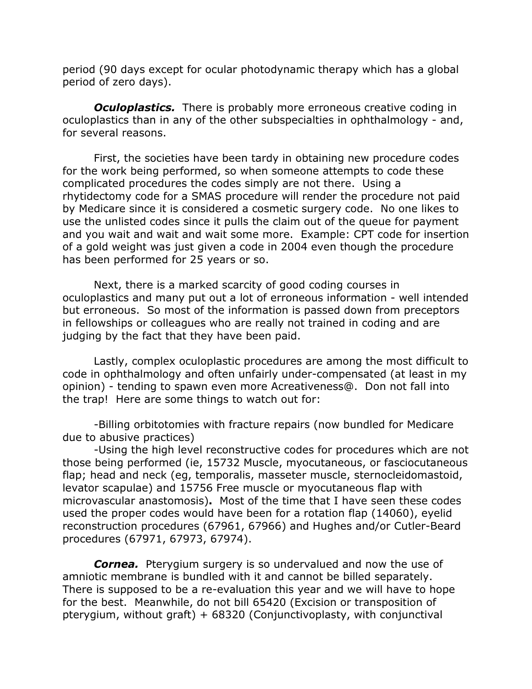period (90 days except for ocular photodynamic therapy which has a global period of zero days).

**Oculoplastics.** There is probably more erroneous creative coding in oculoplastics than in any of the other subspecialties in ophthalmology - and, for several reasons.

First, the societies have been tardy in obtaining new procedure codes for the work being performed, so when someone attempts to code these complicated procedures the codes simply are not there. Using a rhytidectomy code for a SMAS procedure will render the procedure not paid by Medicare since it is considered a cosmetic surgery code. No one likes to use the unlisted codes since it pulls the claim out of the queue for payment and you wait and wait and wait some more. Example: CPT code for insertion of a gold weight was just given a code in 2004 even though the procedure has been performed for 25 years or so.

Next, there is a marked scarcity of good coding courses in oculoplastics and many put out a lot of erroneous information - well intended but erroneous. So most of the information is passed down from preceptors in fellowships or colleagues who are really not trained in coding and are judging by the fact that they have been paid.

Lastly, complex oculoplastic procedures are among the most difficult to code in ophthalmology and often unfairly under-compensated (at least in my opinion) - tending to spawn even more Acreativeness@. Don not fall into the trap! Here are some things to watch out for:

-Billing orbitotomies with fracture repairs (now bundled for Medicare due to abusive practices)

-Using the high level reconstructive codes for procedures which are not those being performed (ie, 15732 Muscle, myocutaneous, or fasciocutaneous flap; head and neck (eg, temporalis, masseter muscle, sternocleidomastoid, levator scapulae) and 15756 Free muscle or myocutaneous flap with microvascular anastomosis). Most of the time that I have seen these codes used the proper codes would have been for a rotation flap (14060), eyelid reconstruction procedures (67961, 67966) and Hughes and/or Cutler-Beard procedures (67971, 67973, 67974).

**Cornea.** Pterygium surgery is so undervalued and now the use of amniotic membrane is bundled with it and cannot be billed separately. There is supposed to be a re-evaluation this year and we will have to hope for the best. Meanwhile, do not bill 65420 (Excision or transposition of pterygium, without graft) + 68320 (Conjunctivoplasty, with conjunctival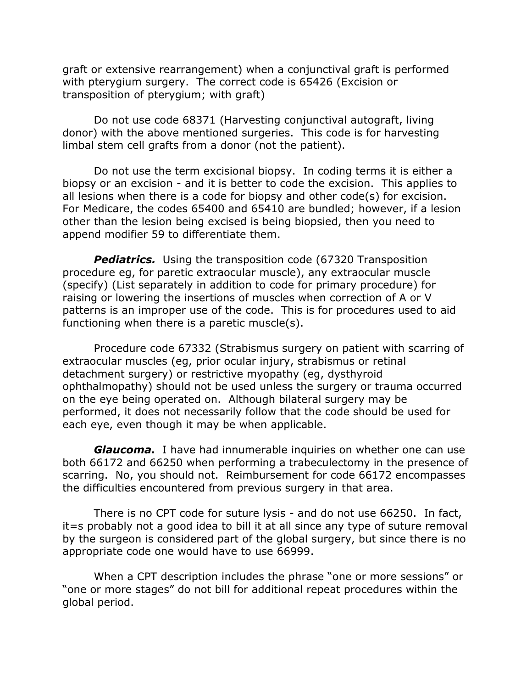graft or extensive rearrangement) when a conjunctival graft is performed with pterygium surgery. The correct code is 65426 (Excision or transposition of pterygium; with graft)

Do not use code 68371 (Harvesting conjunctival autograft, living donor) with the above mentioned surgeries. This code is for harvesting limbal stem cell grafts from a donor (not the patient).

Do not use the term excisional biopsy. In coding terms it is either a biopsy or an excision - and it is better to code the excision. This applies to all lesions when there is a code for biopsy and other code(s) for excision. For Medicare, the codes 65400 and 65410 are bundled; however, if a lesion other than the lesion being excised is being biopsied, then you need to append modifier 59 to differentiate them.

**Pediatrics.** Using the transposition code (67320 Transposition procedure eg, for paretic extraocular muscle), any extraocular muscle (specify) (List separately in addition to code for primary procedure) for raising or lowering the insertions of muscles when correction of A or V patterns is an improper use of the code. This is for procedures used to aid functioning when there is a paretic muscle(s).

Procedure code 67332 (Strabismus surgery on patient with scarring of extraocular muscles (eg, prior ocular injury, strabismus or retinal detachment surgery) or restrictive myopathy (eg, dysthyroid ophthalmopathy) should not be used unless the surgery or trauma occurred on the eye being operated on. Although bilateral surgery may be performed, it does not necessarily follow that the code should be used for each eye, even though it may be when applicable.

**Glaucoma.** I have had innumerable inquiries on whether one can use both 66172 and 66250 when performing a trabeculectomy in the presence of scarring. No, you should not. Reimbursement for code 66172 encompasses the difficulties encountered from previous surgery in that area.

There is no CPT code for suture lysis - and do not use 66250. In fact, it=s probably not a good idea to bill it at all since any type of suture removal by the surgeon is considered part of the global surgery, but since there is no appropriate code one would have to use 66999.

When a CPT description includes the phrase "one or more sessions" or "one or more stages" do not bill for additional repeat procedures within the global period.